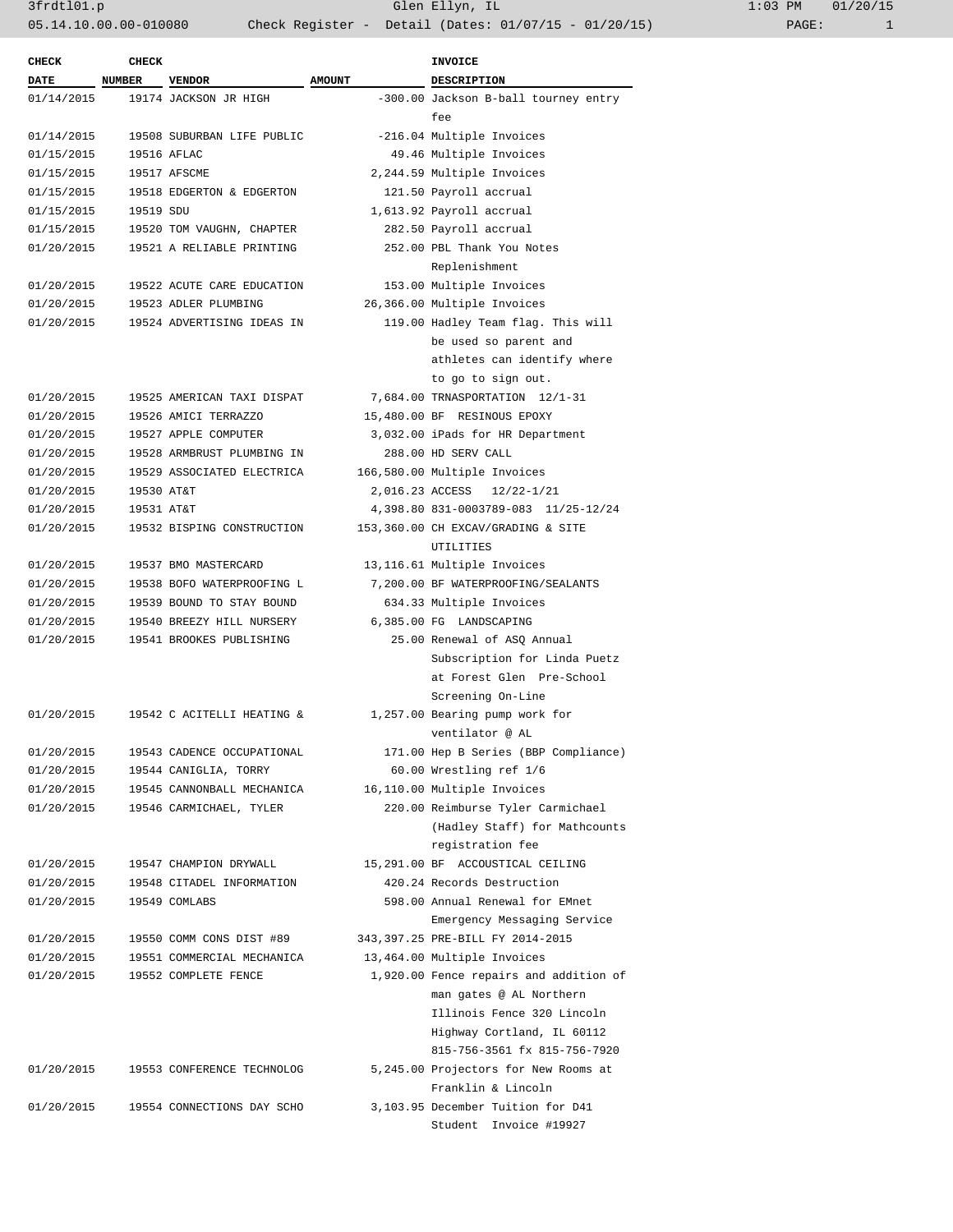| <b>CHECK</b> | <b>CHECK</b> |                            |               | <b>INVOICE</b>                         |
|--------------|--------------|----------------------------|---------------|----------------------------------------|
| <b>DATE</b>  | NUMBER       | <b>VENDOR</b>              | <b>AMOUNT</b> | DESCRIPTION                            |
| 01/14/2015   |              | 19174 JACKSON JR HIGH      |               | -300.00 Jackson B-ball tourney entry   |
|              |              |                            |               | fee                                    |
| 01/14/2015   |              | 19508 SUBURBAN LIFE PUBLIC |               | -216.04 Multiple Invoices              |
| 01/15/2015   |              | 19516 AFLAC                |               | 49.46 Multiple Invoices                |
| 01/15/2015   |              | 19517 AFSCME               |               | 2,244.59 Multiple Invoices             |
| 01/15/2015   |              | 19518 EDGERTON & EDGERTON  |               | 121.50 Payroll accrual                 |
| 01/15/2015   | 19519 SDU    |                            |               | 1,613.92 Payroll accrual               |
| 01/15/2015   |              | 19520 TOM VAUGHN, CHAPTER  |               | 282.50 Payroll accrual                 |
| 01/20/2015   |              | 19521 A RELIABLE PRINTING  |               | 252.00 PBL Thank You Notes             |
|              |              |                            |               | Replenishment                          |
| 01/20/2015   |              | 19522 ACUTE CARE EDUCATION |               | 153.00 Multiple Invoices               |
| 01/20/2015   |              | 19523 ADLER PLUMBING       |               | 26,366.00 Multiple Invoices            |
| 01/20/2015   |              | 19524 ADVERTISING IDEAS IN |               | 119.00 Hadley Team flag. This will     |
|              |              |                            |               | be used so parent and                  |
|              |              |                            |               | athletes can identify where            |
|              |              |                            |               | to go to sign out.                     |
| 01/20/2015   |              | 19525 AMERICAN TAXI DISPAT |               | 7,684.00 TRNASPORTATION 12/1-31        |
| 01/20/2015   |              | 19526 AMICI TERRAZZO       |               | 15,480.00 BF RESINOUS EPOXY            |
| 01/20/2015   |              | 19527 APPLE COMPUTER       |               | 3,032.00 iPads for HR Department       |
| 01/20/2015   |              | 19528 ARMBRUST PLUMBING IN |               | 288.00 HD SERV CALL                    |
| 01/20/2015   |              | 19529 ASSOCIATED ELECTRICA |               | 166,580.00 Multiple Invoices           |
| 01/20/2015   | 19530 AT&T   |                            |               | 2,016.23 ACCESS<br>$12/22 - 1/21$      |
| 01/20/2015   | 19531 AT&T   |                            |               | 4,398.80 831-0003789-083 11/25-12/24   |
| 01/20/2015   |              | 19532 BISPING CONSTRUCTION |               | 153,360.00 CH EXCAV/GRADING & SITE     |
|              |              |                            |               | UTILITIES                              |
| 01/20/2015   |              | 19537 BMO MASTERCARD       |               | 13,116.61 Multiple Invoices            |
| 01/20/2015   |              | 19538 BOFO WATERPROOFING L |               | 7,200.00 BF WATERPROOFING/SEALANTS     |
| 01/20/2015   |              | 19539 BOUND TO STAY BOUND  |               | 634.33 Multiple Invoices               |
| 01/20/2015   |              | 19540 BREEZY HILL NURSERY  |               | 6,385.00 FG LANDSCAPING                |
| 01/20/2015   |              | 19541 BROOKES PUBLISHING   |               | 25.00 Renewal of ASQ Annual            |
|              |              |                            |               | Subscription for Linda Puetz           |
|              |              |                            |               | at Forest Glen Pre-School              |
|              |              |                            |               | Screening On-Line                      |
| 01/20/2015   |              | 19542 C ACITELLI HEATING & |               | 1,257.00 Bearing pump work for         |
|              |              |                            |               | ventilator @ AL                        |
| 01/20/2015   |              | 19543 CADENCE OCCUPATIONAL |               | 171.00 Hep B Series (BBP Compliance)   |
| 01/20/2015   |              | 19544 CANIGLIA, TORRY      |               | 60.00 Wrestling ref 1/6                |
| 01/20/2015   |              | 19545 CANNONBALL MECHANICA |               | 16,110.00 Multiple Invoices            |
| 01/20/2015   |              | 19546 CARMICHAEL, TYLER    |               | 220.00 Reimburse Tyler Carmichael      |
|              |              |                            |               | (Hadley Staff) for Mathcounts          |
|              |              |                            |               | registration fee                       |
| 01/20/2015   |              | 19547 CHAMPION DRYWALL     |               | 15,291.00 BF ACCOUSTICAL CEILING       |
| 01/20/2015   |              | 19548 CITADEL INFORMATION  |               | 420.24 Records Destruction             |
| 01/20/2015   |              | 19549 COMLABS              |               | 598.00 Annual Renewal for EMnet        |
|              |              |                            |               | Emergency Messaging Service            |
| 01/20/2015   |              | 19550 COMM CONS DIST #89   |               | 343,397.25 PRE-BILL FY 2014-2015       |
| 01/20/2015   |              | 19551 COMMERCIAL MECHANICA |               | 13,464.00 Multiple Invoices            |
| 01/20/2015   |              | 19552 COMPLETE FENCE       |               | 1,920.00 Fence repairs and addition of |
|              |              |                            |               | man gates @ AL Northern                |
|              |              |                            |               | Illinois Fence 320 Lincoln             |
|              |              |                            |               | Highway Cortland, IL 60112             |
|              |              |                            |               | 815-756-3561 fx 815-756-7920           |
| 01/20/2015   |              | 19553 CONFERENCE TECHNOLOG |               | 5,245.00 Projectors for New Rooms at   |
|              |              |                            |               | Franklin & Lincoln                     |
| 01/20/2015   |              | 19554 CONNECTIONS DAY SCHO |               | 3,103.95 December Tuition for D41      |
|              |              |                            |               | Student Invoice #19927                 |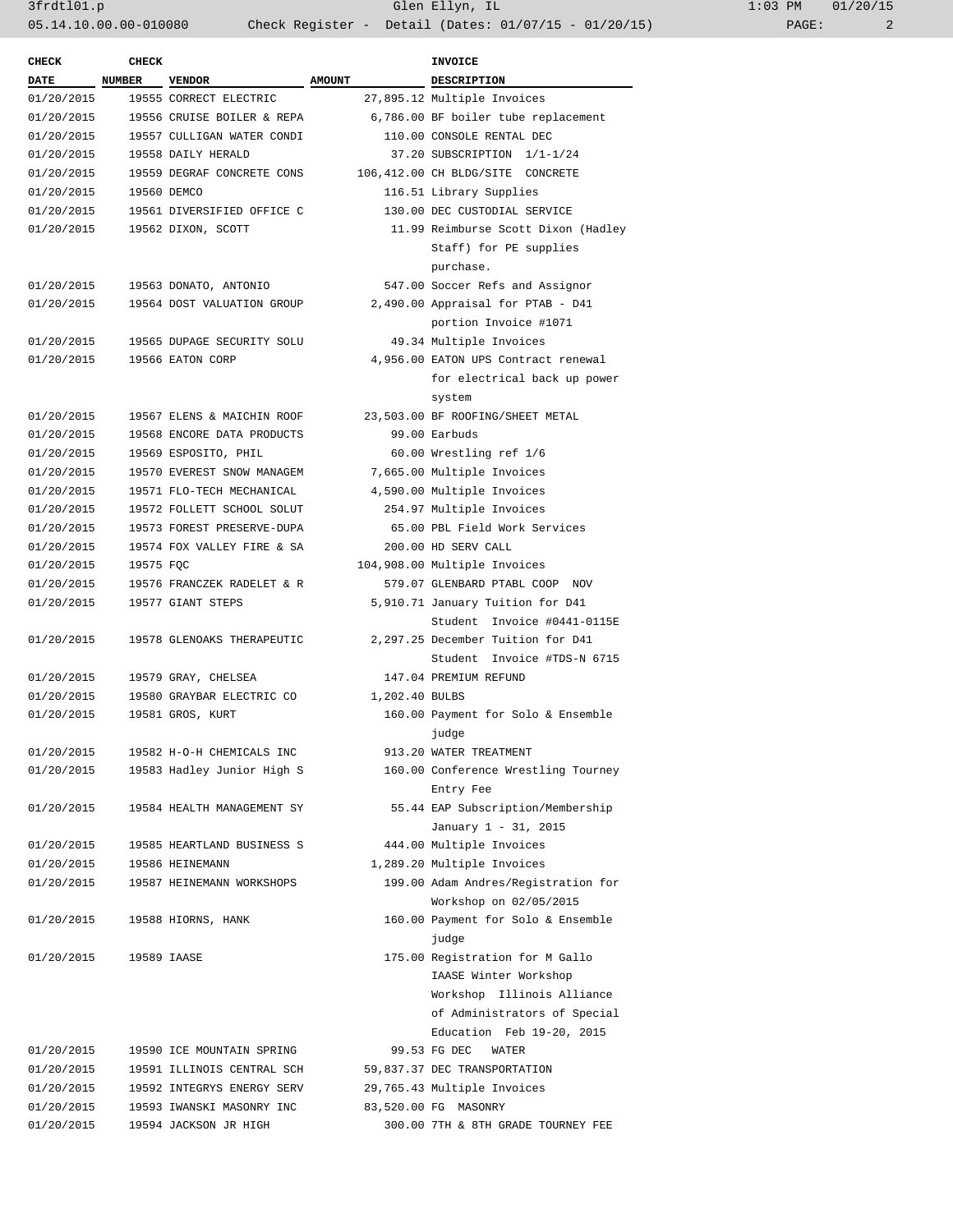3frdtl01.p Glen Ellyn, IL 1:03 PM 01/20/15 05.14.10.00.00-010080 Check Register - Detail (Dates: 01/07/15 - 01/20/15) PAGE: 2

| <b>CHECK</b>             | <b>CHECK</b> |                            |                | <b>INVOICE</b>                      |
|--------------------------|--------------|----------------------------|----------------|-------------------------------------|
| $\overline{\text{DATE}}$ | NUMBER       | <b>VENDOR</b>              | <b>AMOUNT</b>  | DESCRIPTION                         |
| 01/20/2015               |              | 19555 CORRECT ELECTRIC     |                | 27,895.12 Multiple Invoices         |
| 01/20/2015               |              | 19556 CRUISE BOILER & REPA |                | 6,786.00 BF boiler tube replacement |
| 01/20/2015               |              | 19557 CULLIGAN WATER CONDI |                | 110.00 CONSOLE RENTAL DEC           |
| 01/20/2015               |              | 19558 DAILY HERALD         |                | 37.20 SUBSCRIPTION 1/1-1/24         |
| 01/20/2015               |              | 19559 DEGRAF CONCRETE CONS |                | 106,412.00 CH BLDG/SITE CONCRETE    |
| 01/20/2015               |              | 19560 DEMCO                |                | 116.51 Library Supplies             |
|                          |              |                            |                |                                     |
| 01/20/2015               |              | 19561 DIVERSIFIED OFFICE C |                | 130.00 DEC CUSTODIAL SERVICE        |
| 01/20/2015               |              | 19562 DIXON, SCOTT         |                | 11.99 Reimburse Scott Dixon (Hadley |
|                          |              |                            |                | Staff) for PE supplies              |
|                          |              |                            |                | purchase.                           |
| 01/20/2015               |              | 19563 DONATO, ANTONIO      |                | 547.00 Soccer Refs and Assignor     |
| 01/20/2015               |              | 19564 DOST VALUATION GROUP |                | 2,490.00 Appraisal for PTAB - D41   |
|                          |              |                            |                | portion Invoice #1071               |
| 01/20/2015               |              | 19565 DUPAGE SECURITY SOLU |                | 49.34 Multiple Invoices             |
| 01/20/2015               |              | 19566 EATON CORP           |                | 4,956.00 EATON UPS Contract renewal |
|                          |              |                            |                | for electrical back up power        |
|                          |              |                            |                | system                              |
| 01/20/2015               |              | 19567 ELENS & MAICHIN ROOF |                | 23,503.00 BF ROOFING/SHEET METAL    |
| 01/20/2015               |              | 19568 ENCORE DATA PRODUCTS |                | 99.00 Earbuds                       |
| 01/20/2015               |              | 19569 ESPOSITO, PHIL       |                | 60.00 Wrestling ref 1/6             |
| 01/20/2015               |              | 19570 EVEREST SNOW MANAGEM |                | 7,665.00 Multiple Invoices          |
| 01/20/2015               |              | 19571 FLO-TECH MECHANICAL  |                | 4,590.00 Multiple Invoices          |
| 01/20/2015               |              | 19572 FOLLETT SCHOOL SOLUT |                | 254.97 Multiple Invoices            |
| 01/20/2015               |              | 19573 FOREST PRESERVE-DUPA |                | 65.00 PBL Field Work Services       |
| 01/20/2015               |              | 19574 FOX VALLEY FIRE & SA |                | 200.00 HD SERV CALL                 |
| 01/20/2015               | 19575 FQC    |                            |                | 104,908.00 Multiple Invoices        |
|                          |              |                            |                |                                     |
| 01/20/2015               |              | 19576 FRANCZEK RADELET & R |                | 579.07 GLENBARD PTABL COOP NOV      |
| 01/20/2015               |              | 19577 GIANT STEPS          |                | 5,910.71 January Tuition for D41    |
|                          |              |                            |                | Student Invoice #0441-0115E         |
| 01/20/2015               |              | 19578 GLENOAKS THERAPEUTIC |                | 2,297.25 December Tuition for D41   |
|                          |              |                            |                | Student Invoice #TDS-N 6715         |
| 01/20/2015               |              | 19579 GRAY, CHELSEA        |                | 147.04 PREMIUM REFUND               |
| 01/20/2015               |              | 19580 GRAYBAR ELECTRIC CO  | 1,202.40 BULBS |                                     |
| 01/20/2015               |              | 19581 GROS, KURT           |                | 160.00 Payment for Solo & Ensemble  |
|                          |              |                            |                | judge                               |
| 01/20/2015               |              | 19582 H-O-H CHEMICALS INC  |                | 913.20 WATER TREATMENT              |
| 01/20/2015               |              | 19583 Hadley Junior High S |                | 160.00 Conference Wrestling Tourney |
|                          |              |                            |                | Entry Fee                           |
| 01/20/2015               |              | 19584 HEALTH MANAGEMENT SY |                | 55.44 EAP Subscription/Membership   |
|                          |              |                            |                | January 1 - 31, 2015                |
| 01/20/2015               |              | 19585 HEARTLAND BUSINESS S |                | 444.00 Multiple Invoices            |
| 01/20/2015               |              | 19586 HEINEMANN            |                | 1,289.20 Multiple Invoices          |
| 01/20/2015               |              | 19587 HEINEMANN WORKSHOPS  |                | 199.00 Adam Andres/Registration for |
|                          |              |                            |                | Workshop on 02/05/2015              |
| 01/20/2015               |              | 19588 HIORNS, HANK         |                | 160.00 Payment for Solo & Ensemble  |
|                          |              |                            |                | judge                               |
| 01/20/2015               |              | 19589 IAASE                |                | 175.00 Registration for M Gallo     |
|                          |              |                            |                |                                     |
|                          |              |                            |                | IAASE Winter Workshop               |
|                          |              |                            |                | Workshop Illinois Alliance          |
|                          |              |                            |                | of Administrators of Special        |
|                          |              |                            |                | Education Feb 19-20, 2015           |
| 01/20/2015               |              | 19590 ICE MOUNTAIN SPRING  |                | 99.53 FG DEC<br>WATER               |
| 01/20/2015               |              | 19591 ILLINOIS CENTRAL SCH |                | 59,837.37 DEC TRANSPORTATION        |
| 01/20/2015               |              | 19592 INTEGRYS ENERGY SERV |                | 29,765.43 Multiple Invoices         |
| 01/20/2015               |              | 19593 IWANSKI MASONRY INC  |                | 83,520.00 FG MASONRY                |
| 01/20/2015               |              | 19594 JACKSON JR HIGH      |                | 300.00 7TH & 8TH GRADE TOURNEY FEE  |
|                          |              |                            |                |                                     |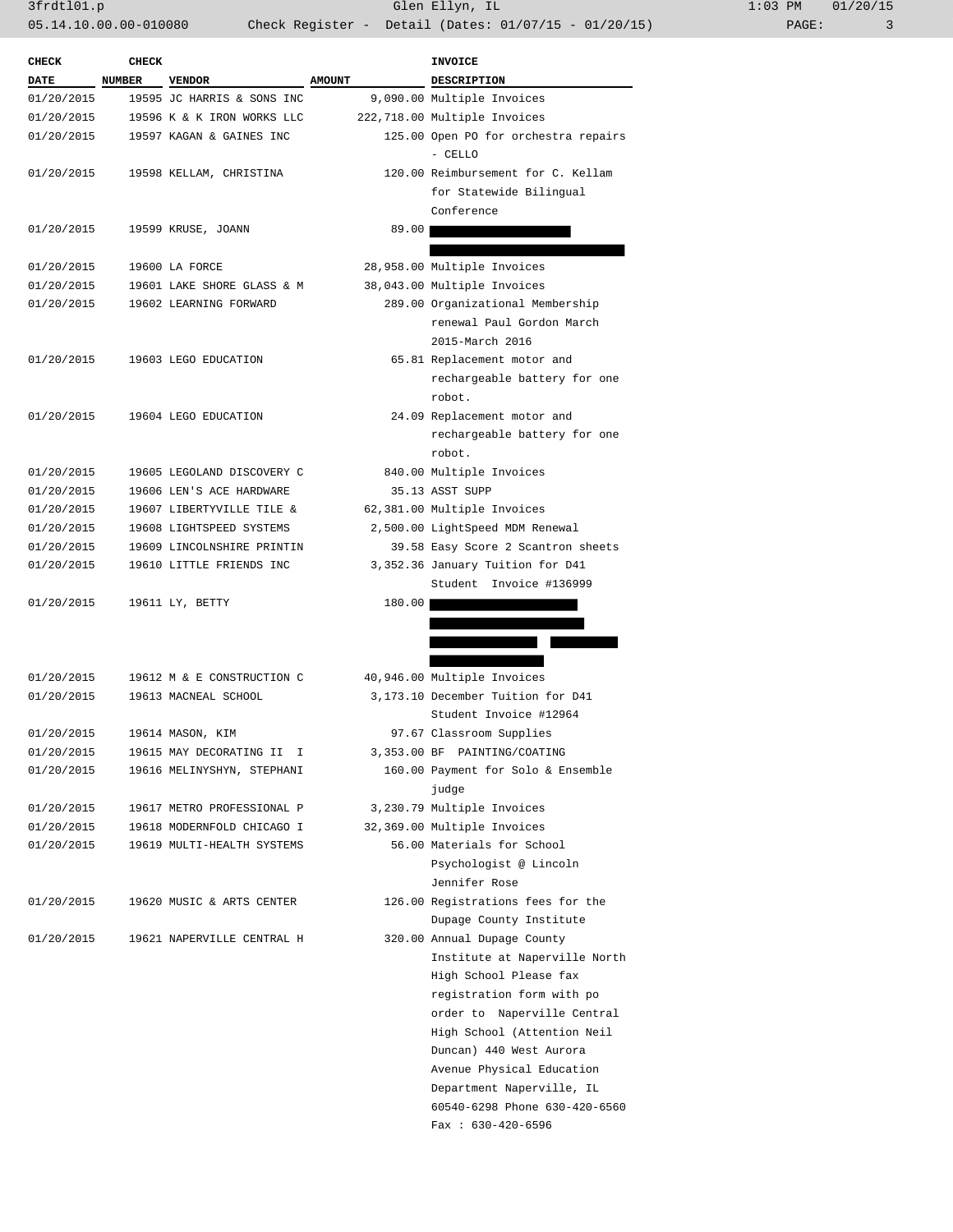3frdtl01.p Glen Ellyn, IL 1:03 PM 01/20/15 05.14.10.00.00-010080 Check Register - Detail (Dates: 01/07/15 - 01/20/15) PAGE: 3

| <b>CHECK</b> | <b>CHECK</b>  |                            |               | INVOICE                                         |
|--------------|---------------|----------------------------|---------------|-------------------------------------------------|
| <b>DATE</b>  | <b>NUMBER</b> | <b>VENDOR</b>              | <b>AMOUNT</b> | <b>DESCRIPTION</b>                              |
| 01/20/2015   |               | 19595 JC HARRIS & SONS INC |               | 9,090.00 Multiple Invoices                      |
| 01/20/2015   |               | 19596 K & K IRON WORKS LLC |               | 222,718.00 Multiple Invoices                    |
| 01/20/2015   |               | 19597 KAGAN & GAINES INC   |               | 125.00 Open PO for orchestra repairs<br>- CELLO |
| 01/20/2015   |               | 19598 KELLAM, CHRISTINA    |               | 120.00 Reimbursement for C. Kellam              |
|              |               |                            |               | for Statewide Bilingual                         |
|              |               |                            |               | Conference                                      |
| 01/20/2015   |               | 19599 KRUSE, JOANN         | 89.00         |                                                 |
|              |               |                            |               |                                                 |
| 01/20/2015   |               | 19600 LA FORCE             |               | 28,958.00 Multiple Invoices                     |
| 01/20/2015   |               | 19601 LAKE SHORE GLASS & M |               | 38,043.00 Multiple Invoices                     |
| 01/20/2015   |               | 19602 LEARNING FORWARD     |               | 289.00 Organizational Membership                |
|              |               |                            |               | renewal Paul Gordon March                       |
|              |               |                            |               | 2015-March 2016                                 |
| 01/20/2015   |               | 19603 LEGO EDUCATION       |               | 65.81 Replacement motor and                     |
|              |               |                            |               | rechargeable battery for one<br>robot.          |
| 01/20/2015   |               | 19604 LEGO EDUCATION       |               | 24.09 Replacement motor and                     |
|              |               |                            |               | rechargeable battery for one                    |
|              |               |                            |               | robot.                                          |
| 01/20/2015   |               | 19605 LEGOLAND DISCOVERY C |               | 840.00 Multiple Invoices                        |
| 01/20/2015   |               | 19606 LEN'S ACE HARDWARE   |               | 35.13 ASST SUPP                                 |
| 01/20/2015   |               | 19607 LIBERTYVILLE TILE &  |               | 62,381.00 Multiple Invoices                     |
| 01/20/2015   |               | 19608 LIGHTSPEED SYSTEMS   |               | 2,500.00 LightSpeed MDM Renewal                 |
| 01/20/2015   |               | 19609 LINCOLNSHIRE PRINTIN |               | 39.58 Easy Score 2 Scantron sheets              |
| 01/20/2015   |               | 19610 LITTLE FRIENDS INC   |               | 3,352.36 January Tuition for D41                |
|              |               |                            |               | Student Invoice #136999                         |
| 01/20/2015   |               | 19611 LY, BETTY            | 180.00        |                                                 |
|              |               |                            |               |                                                 |
|              |               |                            |               |                                                 |
| 01/20/2015   |               | 19612 M & E CONSTRUCTION C |               | 40,946.00 Multiple Invoices                     |
| 01/20/2015   |               | 19613 MACNEAL SCHOOL       |               | 3,173.10 December Tuition for D41               |
|              |               |                            |               | Student Invoice #12964                          |
| 01/20/2015   |               | 19614 MASON, KIM           |               | 97.67 Classroom Supplies                        |
| 01/20/2015   |               | 19615 MAY DECORATING II I  |               | 3,353.00 BF PAINTING/COATING                    |
| 01/20/2015   |               | 19616 MELINYSHYN, STEPHANI |               | 160.00 Payment for Solo & Ensemble              |
|              |               |                            |               | judge                                           |
| 01/20/2015   |               | 19617 METRO PROFESSIONAL P |               | 3,230.79 Multiple Invoices                      |
| 01/20/2015   |               | 19618 MODERNFOLD CHICAGO I |               | 32,369.00 Multiple Invoices                     |
| 01/20/2015   |               | 19619 MULTI-HEALTH SYSTEMS |               | 56.00 Materials for School                      |
|              |               |                            |               | Psychologist @ Lincoln                          |
|              |               |                            |               | Jennifer Rose                                   |
| 01/20/2015   |               | 19620 MUSIC & ARTS CENTER  |               | 126.00 Registrations fees for the               |
|              |               |                            |               | Dupage County Institute                         |
| 01/20/2015   |               | 19621 NAPERVILLE CENTRAL H |               | 320.00 Annual Dupage County                     |
|              |               |                            |               | Institute at Naperville North                   |
|              |               |                            |               | High School Please fax                          |
|              |               |                            |               | registration form with po                       |
|              |               |                            |               | order to Naperville Central                     |
|              |               |                            |               | High School (Attention Neil                     |
|              |               |                            |               | Duncan) 440 West Aurora                         |
|              |               |                            |               | Avenue Physical Education                       |
|              |               |                            |               | Department Naperville, IL                       |
|              |               |                            |               | 60540-6298 Phone 630-420-6560                   |
|              |               |                            |               | Fax: $630-420-6596$                             |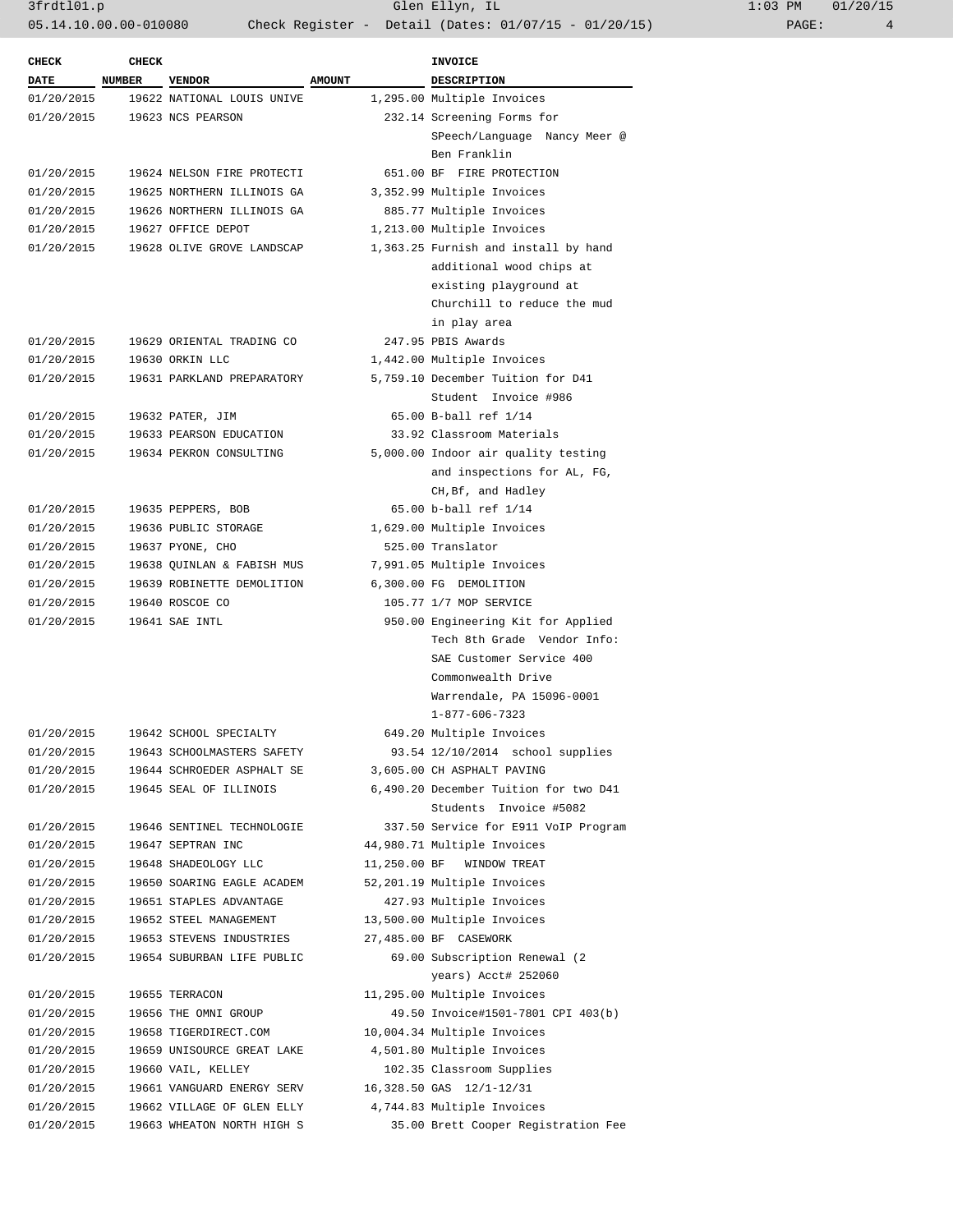3frdtl01.p Glen Ellyn, IL 1:03 PM 01/20/15 05.14.10.00.00-010080 Check Register - Detail (Dates: 01/07/15 - 01/20/15)

| <b>CHECK</b> | <b>CHECK</b>  |                            |               | <b>INVOICE</b>                        |
|--------------|---------------|----------------------------|---------------|---------------------------------------|
| <b>DATE</b>  | <b>NUMBER</b> | <b>VENDOR</b>              | <b>AMOUNT</b> | <b>DESCRIPTION</b>                    |
| 01/20/2015   |               | 19622 NATIONAL LOUIS UNIVE |               | 1,295.00 Multiple Invoices            |
| 01/20/2015   |               | 19623 NCS PEARSON          |               | 232.14 Screening Forms for            |
|              |               |                            |               | SPeech/Language Nancy Meer @          |
|              |               |                            |               | Ben Franklin                          |
| 01/20/2015   |               | 19624 NELSON FIRE PROTECTI |               | 651.00 BF FIRE PROTECTION             |
| 01/20/2015   |               | 19625 NORTHERN ILLINOIS GA |               | 3,352.99 Multiple Invoices            |
| 01/20/2015   |               | 19626 NORTHERN ILLINOIS GA |               | 885.77 Multiple Invoices              |
| 01/20/2015   |               | 19627 OFFICE DEPOT         |               | 1,213.00 Multiple Invoices            |
| 01/20/2015   |               | 19628 OLIVE GROVE LANDSCAP |               | 1,363.25 Furnish and install by hand  |
|              |               |                            |               | additional wood chips at              |
|              |               |                            |               | existing playground at                |
|              |               |                            |               | Churchill to reduce the mud           |
|              |               |                            |               | in play area                          |
| 01/20/2015   |               | 19629 ORIENTAL TRADING CO  |               | 247.95 PBIS Awards                    |
| 01/20/2015   |               | 19630 ORKIN LLC            |               | 1,442.00 Multiple Invoices            |
| 01/20/2015   |               | 19631 PARKLAND PREPARATORY |               | 5,759.10 December Tuition for D41     |
|              |               |                            |               | Student Invoice #986                  |
| 01/20/2015   |               | 19632 PATER, JIM           |               | 65.00 B-ball ref 1/14                 |
| 01/20/2015   |               | 19633 PEARSON EDUCATION    |               | 33.92 Classroom Materials             |
| 01/20/2015   |               | 19634 PEKRON CONSULTING    |               | 5,000.00 Indoor air quality testing   |
|              |               |                            |               | and inspections for AL, FG,           |
|              |               |                            |               | CH, Bf, and Hadley                    |
| 01/20/2015   |               | 19635 PEPPERS, BOB         |               | 65.00 b-ball ref 1/14                 |
| 01/20/2015   |               | 19636 PUBLIC STORAGE       |               | 1,629.00 Multiple Invoices            |
| 01/20/2015   |               | 19637 PYONE, CHO           |               | 525.00 Translator                     |
| 01/20/2015   |               | 19638 QUINLAN & FABISH MUS |               | 7,991.05 Multiple Invoices            |
| 01/20/2015   |               | 19639 ROBINETTE DEMOLITION |               | 6,300.00 FG DEMOLITION                |
| 01/20/2015   |               | 19640 ROSCOE CO            |               | 105.77 1/7 MOP SERVICE                |
| 01/20/2015   |               | 19641 SAE INTL             |               | 950.00 Engineering Kit for Applied    |
|              |               |                            |               | Tech 8th Grade Vendor Info:           |
|              |               |                            |               | SAE Customer Service 400              |
|              |               |                            |               | Commonwealth Drive                    |
|              |               |                            |               | Warrendale, PA 15096-0001             |
|              |               |                            |               | 1-877-606-7323                        |
| 01/20/2015   |               | 19642 SCHOOL SPECIALTY     |               | 649.20 Multiple Invoices              |
| 01/20/2015   |               | 19643 SCHOOLMASTERS SAFETY |               | 93.54 12/10/2014 school supplies      |
| 01/20/2015   |               | 19644 SCHROEDER ASPHALT SE |               | 3,605.00 CH ASPHALT PAVING            |
| 01/20/2015   |               | 19645 SEAL OF ILLINOIS     |               | 6,490.20 December Tuition for two D41 |
|              |               |                            |               | Students Invoice #5082                |
| 01/20/2015   |               | 19646 SENTINEL TECHNOLOGIE |               | 337.50 Service for E911 VoIP Program  |
| 01/20/2015   |               | 19647 SEPTRAN INC          |               | 44,980.71 Multiple Invoices           |
| 01/20/2015   |               | 19648 SHADEOLOGY LLC       |               | 11,250.00 BF WINDOW TREAT             |
| 01/20/2015   |               | 19650 SOARING EAGLE ACADEM |               | 52,201.19 Multiple Invoices           |
| 01/20/2015   |               | 19651 STAPLES ADVANTAGE    |               | 427.93 Multiple Invoices              |
| 01/20/2015   |               | 19652 STEEL MANAGEMENT     |               | 13,500.00 Multiple Invoices           |
| 01/20/2015   |               | 19653 STEVENS INDUSTRIES   |               | 27,485.00 BF CASEWORK                 |
| 01/20/2015   |               | 19654 SUBURBAN LIFE PUBLIC |               | 69.00 Subscription Renewal (2         |
|              |               |                            |               | years) Acct# 252060                   |
| 01/20/2015   |               | 19655 TERRACON             |               | 11,295.00 Multiple Invoices           |
| 01/20/2015   |               | 19656 THE OMNI GROUP       |               | 49.50 Invoice#1501-7801 CPI 403(b)    |
| 01/20/2015   |               | 19658 TIGERDIRECT.COM      |               | 10,004.34 Multiple Invoices           |
| 01/20/2015   |               | 19659 UNISOURCE GREAT LAKE |               | 4,501.80 Multiple Invoices            |
| 01/20/2015   |               | 19660 VAIL, KELLEY         |               | 102.35 Classroom Supplies             |
| 01/20/2015   |               | 19661 VANGUARD ENERGY SERV |               | 16,328.50 GAS 12/1-12/31              |
| 01/20/2015   |               | 19662 VILLAGE OF GLEN ELLY |               | 4,744.83 Multiple Invoices            |
| 01/20/2015   |               | 19663 WHEATON NORTH HIGH S |               | 35.00 Brett Cooper Registration Fee   |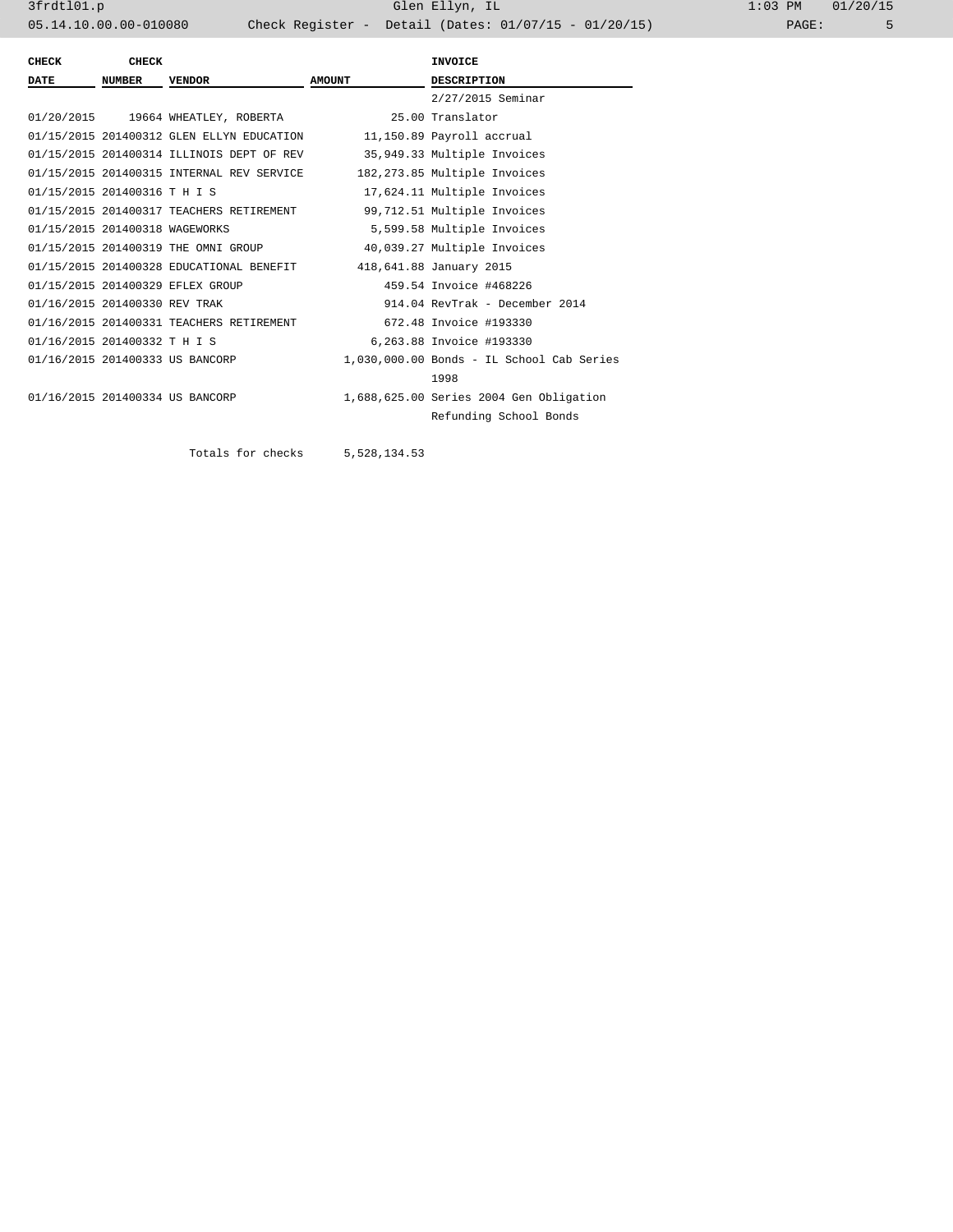| <b>CHECK</b>                   | <b>CHECK</b> |                                                                  |               | <b>INVOICE</b>                            |
|--------------------------------|--------------|------------------------------------------------------------------|---------------|-------------------------------------------|
| <b>DATE</b>                    | NUMBER       | <b>VENDOR</b>                                                    | <b>AMOUNT</b> | <b>DESCRIPTION</b>                        |
|                                |              |                                                                  |               | 2/27/2015 Seminar                         |
|                                |              | 01/20/2015 19664 WHEATLEY, ROBERTA                               |               | 25.00 Translator                          |
|                                |              | 01/15/2015 201400312 GLEN ELLYN EDUCATION                        |               | 11,150.89 Payroll accrual                 |
|                                |              | 01/15/2015 201400314 ILLINOIS DEPT OF REV                        |               | 35,949.33 Multiple Invoices               |
|                                |              | 01/15/2015 201400315 INTERNAL REV SERVICE                        |               | 182,273.85 Multiple Invoices              |
| 01/15/2015 201400316 T H I S   |              |                                                                  |               | 17,624.11 Multiple Invoices               |
|                                |              | 01/15/2015 201400317 TEACHERS RETIREMENT                         |               | 99,712.51 Multiple Invoices               |
| 01/15/2015 201400318 WAGEWORKS |              |                                                                  |               | 5,599.58 Multiple Invoices                |
|                                |              | 01/15/2015 201400319 THE OMNI GROUP                              |               | 40,039.27 Multiple Invoices               |
|                                |              | 01/15/2015 201400328 EDUCATIONAL BENEFIT 418,641.88 January 2015 |               |                                           |
|                                |              | 01/15/2015 201400329 EFLEX GROUP                                 |               | 459.54 Invoice #468226                    |
| 01/16/2015 201400330 REV TRAK  |              |                                                                  |               | 914.04 RevTrak - December 2014            |
|                                |              | 01/16/2015 201400331 TEACHERS RETIREMENT                         |               | 672.48 Invoice #193330                    |
| 01/16/2015 201400332 T H I S   |              |                                                                  |               | 6,263.88 Invoice #193330                  |
|                                |              | 01/16/2015 201400333 US BANCORP                                  |               | 1,030,000.00 Bonds - IL School Cab Series |
|                                |              |                                                                  |               | 1998                                      |
|                                |              | 01/16/2015 201400334 US BANCORP                                  |               | 1,688,625.00 Series 2004 Gen Obligation   |
|                                |              |                                                                  |               | Refunding School Bonds                    |

Totals for checks 5,528,134.53